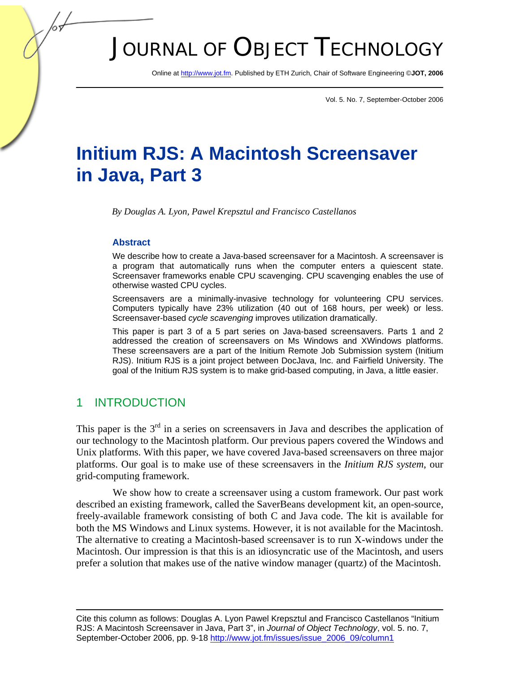# JOURNAL OF OBJECT TECHNOLOGY

Online at http://www.jot.fm. Published by ETH Zurich, Chair of Software Engineering ©**JOT, 2006** 

Vol. 5. No. 7, September-October 2006

# **Initium RJS: A Macintosh Screensaver in Java, Part 3**

*By Douglas A. Lyon, Pawel Krepsztul and Francisco Castellanos* 

#### **Abstract**

We describe how to create a Java-based screensaver for a Macintosh. A screensaver is a program that automatically runs when the computer enters a quiescent state. Screensaver frameworks enable CPU scavenging. CPU scavenging enables the use of otherwise wasted CPU cycles.

Screensavers are a minimally-invasive technology for volunteering CPU services. Computers typically have 23% utilization (40 out of 168 hours, per week) or less. Screensaver-based *cycle scavenging* improves utilization dramatically.

This paper is part 3 of a 5 part series on Java-based screensavers. Parts 1 and 2 addressed the creation of screensavers on Ms Windows and XWindows platforms. These screensavers are a part of the Initium Remote Job Submission system (Initium RJS). Initium RJS is a joint project between DocJava, Inc. and Fairfield University. The goal of the Initium RJS system is to make grid-based computing, in Java, a little easier.

#### 1 INTRODUCTION

This paper is the  $3<sup>rd</sup>$  in a series on screensavers in Java and describes the application of our technology to the Macintosh platform. Our previous papers covered the Windows and Unix platforms. With this paper, we have covered Java-based screensavers on three major platforms. Our goal is to make use of these screensavers in the *Initium RJS system*, our grid-computing framework.

We show how to create a screensaver using a custom framework. Our past work described an existing framework, called the SaverBeans development kit, an open-source, freely-available framework consisting of both C and Java code. The kit is available for both the MS Windows and Linux systems. However, it is not available for the Macintosh. The alternative to creating a Macintosh-based screensaver is to run X-windows under the Macintosh. Our impression is that this is an idiosyncratic use of the Macintosh, and users prefer a solution that makes use of the native window manager (quartz) of the Macintosh.

Cite this column as follows: Douglas A. Lyon Pawel Krepsztul and Francisco Castellanos "Initium RJS: A Macintosh Screensaver in Java, Part 3", in *Journal of Object Technology*, vol. 5. no. 7, September-October 2006, pp. 9-18 http://www.jot.fm/issues/issue\_2006\_09/column1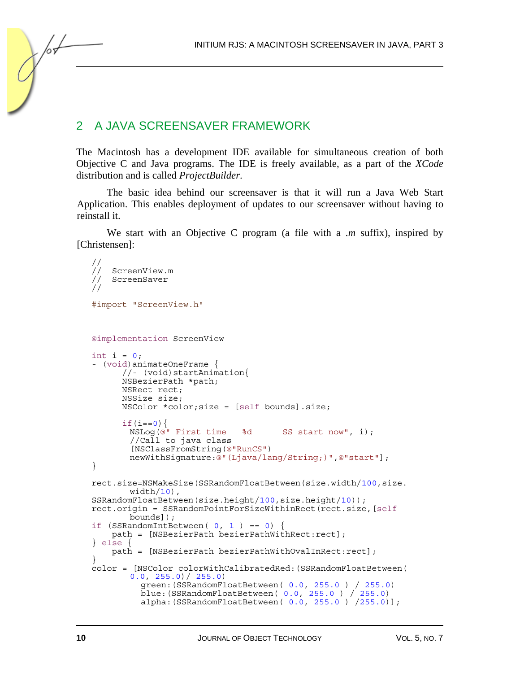#### 2 A JAVA SCREENSAVER FRAMEWORK

The Macintosh has a development IDE available for simultaneous creation of both Objective C and Java programs. The IDE is freely available, as a part of the *XCode* distribution and is called *ProjectBuilder*.

The basic idea behind our screensaver is that it will run a Java Web Start Application. This enables deployment of updates to our screensaver without having to reinstall it.

We start with an Objective C program (a file with a *.m* suffix), inspired by [Christensen]:

```
// 
// ScreenView.m 
// ScreenSaver 
// 
#import "ScreenView.h"
@implementation ScreenView 
int i = 0;
- (void)animateOneFrame { 
       //- (void)startAnimation{ 
       NSBezierPath *path; 
       NSRect rect; 
       NSSize size; 
      NSColor *color;size = [self bounds].size;<br>if(i==0){
       NSLog(@" First time %d SS start now", i);
        //Call to java class 
        [NSClassFromString(@"RunCS") 
        newWithSignature:@"(Ljava/lang/String;)",@"start"]; 
} 
rect.size=NSMakeSize(SSRandomFloatBetween(size.width/100,size. 
       width(10),
SSRandomFloatBetween(size.height/100,size.height/10)); 
rect.origin = SSRandomPointForSizeWithinRect(rect.size,[self
       bounds]); 
if (SSRandomIntBetween( 0, 1 ) == 0) {
     path = [NSBezierPath bezierPathWithRect:rect]; 
} else { 
    path = [NSBezierPath bezierPathWithOvalInRect:rect]; 
} 
color = [NSColor colorWithCalibratedRed:(SSRandomFloatBetween( 
       0.0, 255.0) / 255.0 green:(SSRandomFloatBetween( 0.0, 255.0 ) / 255.0) 
 blue:(SSRandomFloatBetween( 0.0, 255.0 ) / 255.0) 
 alpha:(SSRandomFloatBetween( 0.0, 255.0 ) /255.0)];
```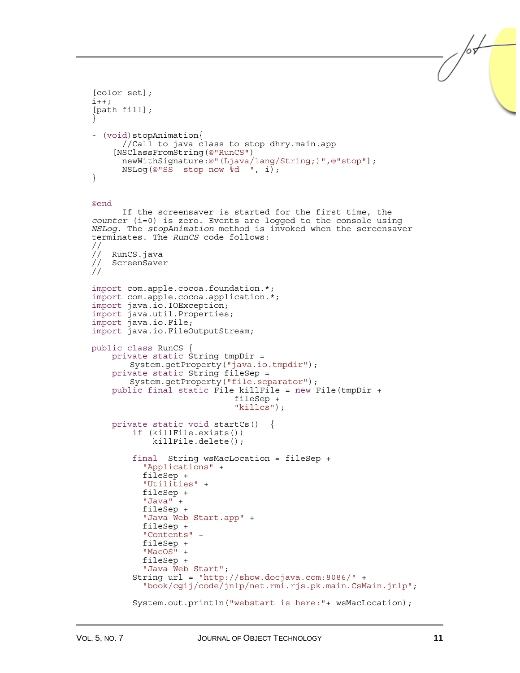```
[color set]; 
i++;[path fill]; 
} 
- (void)stopAnimation{
        //Call to java class to stop dhry.main.app 
      [NSClassFromString(@"RunCS") 
       newWithSignature:@"(Ljava/lang/String;)",@"stop"]; 
       NSLog(@"SS stop now %d ", i); 
} 
@end 
      If the screensaver is started for the first time, the 
counter (i=0) is zero. Events are logged to the console using 
NSLog. The stopAnimation method is invoked when the screensaver 
terminates. The RunCS code follows: 
// 
// RunCS.java<br>// ScreenSave
    ScreenSaver
// 
import com.apple.cocoa.foundation.*; 
import com.apple.cocoa.application.*; 
import java.io.IOException; 
import java.util.Properties; 
import java.io.File; 
import java.io.FileOutputStream; 
public class RunCS \{ private static String tmpDir =
        System.getProperty("java.io.tmpdir"); 
     private static String fileSep = 
        System.getProperty("file.separator"); 
     public final static File killFile = new File(tmpDir + 
                                 fileSep + 
                                 "killcs"); 
    private static void startCs() {<br>if (killFile.exists())
              killFile.delete(); 
          final String wsMacLocation = fileSep + 
            "Applications" + 
            fileSep + 
            "Utilities" + 
            fileSep + 
           fileSep +
            "Java Web Start.app" + fileSep + 
            "Contents" + 
            fileSep + 
           fileSep +
         "Java Web Start";<br>String url = "http://show.docjava.com:8086/" +
           "book/cgij/code/jnlp/net.rmi.rjs.pk.main.CsMain.jnlp";
          System.out.println("webstart is here:"+ wsMacLocation);
```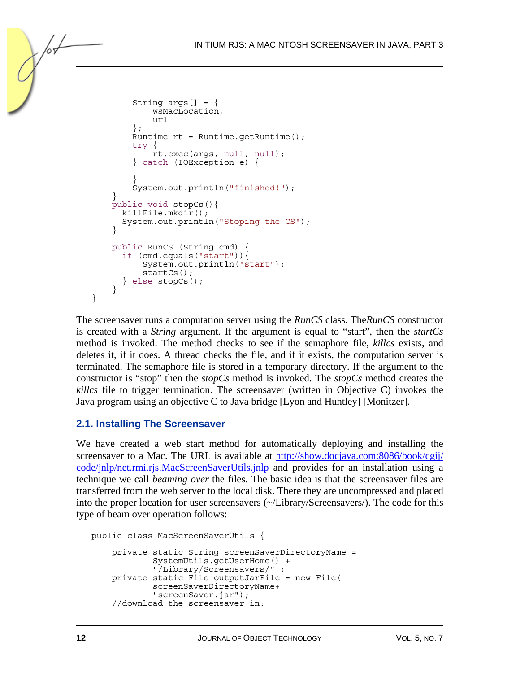```
String args[] = { wsMacLocation, 
              url 
         }; 
        Runtime rt = Runtime.getRuntime();
         try { 
              rt.exec(args, null, null); 
         } catch (IOException e) { 
 } 
         System.out.println("finished!"); 
     } 
     public void stopCs(){ 
       killFile.mkdir(); 
       System.out.println("Stoping the CS"); 
 } 
     public RunCS (String cmd) { 
      if (cmd.equals("start")){ 
           System.out.println("start"); 
           startCs(); 
       } else stopCs(); 
     }
```
The screensaver runs a computation server using the *RunCS* class*.* The*RunCS* constructor is created with a *String* argument*.* If the argument is equal to "start", then the *startCs* method is invoked. The method checks to see if the semaphore file, *killcs* exists, and deletes it, if it does. A thread checks the file, and if it exists, the computation server is terminated. The semaphore file is stored in a temporary directory. If the argument to the constructor is "stop" then the *stopCs* method is invoked. The *stopCs* method creates the *killcs* file to trigger termination. The screensaver (written in Objective C) invokes the Java program using an objective C to Java bridge [Lyon and Huntley] [Monitzer].

#### **2.1. Installing The Screensaver**

}

We have created a web start method for automatically deploying and installing the screensaver to a Mac. The URL is available at [http://show.docjava.com:8086/book/cgij/](http://show.docjava.com:8086/book/cgij/%0Bcode/jnlp/net.rmi.rjs.MacScreenSaverUtils.jnlp) [code/jnlp/net.rmi.rjs.MacScreenSaverUtils.jnlp](http://show.docjava.com:8086/book/cgij/%0Bcode/jnlp/net.rmi.rjs.MacScreenSaverUtils.jnlp) and provides for an installation using a technique we call *beaming over* the files. The basic idea is that the screensaver files are transferred from the web server to the local disk. There they are uncompressed and placed into the proper location for user screensavers (~/Library/Screensavers/). The code for this type of beam over operation follows:

```
public class MacScreenSaverUtils { 
     private static String screenSaverDirectoryName = 
             SystemUtils.getUserHome() + 
              "/Library/Screensavers/" ; 
     private static File outputJarFile = new File( 
             screenSaverDirectoryName+ 
             "screenSaver.jar"); 
     //download the screensaver in:
```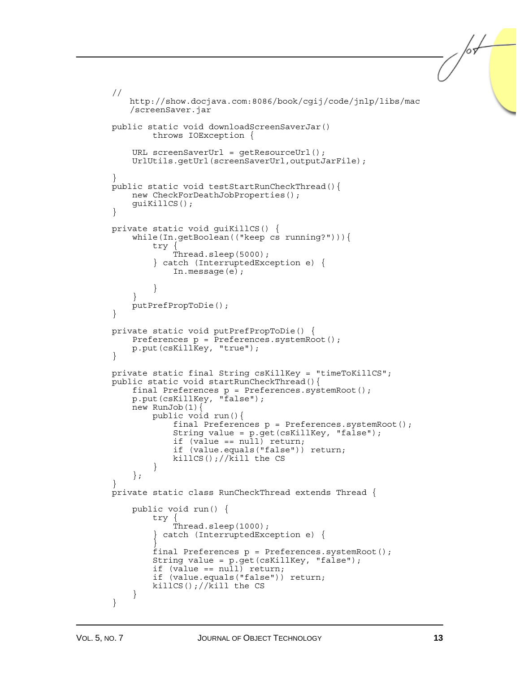```
 // 
       http://show.docjava.com:8086/book/cgij/code/jnlp/libs/mac
       /screenSaver.jar 
    public static void downloadScreenSaverJar() 
             throws IOException { 
        URL screenSaverUrl = qetResourceUrl();
         UrlUtils.getUrl(screenSaverUrl,outputJarFile); 
 } 
    public static void testStartRunCheckThread(){ 
         new CheckForDeathJobProperties(); 
         guiKillCS(); 
     } 
    private static void guiKillCS() { 
         while(In.getBoolean(("keep cs running?"))){ 
             try { 
                 Thread.sleep(5000); 
             } catch (InterruptedException e) { 
                In.message(e);
 } 
 } 
         putPrefPropToDie(); 
     } 
    private static void putPrefPropToDie() { 
         Preferences p = Preferences.systemRoot(); 
         p.put(csKillKey, "true"); 
     } 
    private static final String csKillKey = "timeToKillCS"; 
    public static void startRunCheckThread(){ 
         final Preferences p = Preferences.systemRoot(); 
         p.put(csKillKey, "false"); 
        new RunJob(1) public void run(){ 
                 final Preferences p = Preferences.systemRoot(); 
                 String value = p.get(csKillKey, "false"); 
                 if (value == null) return; 
                 if (value.equals("false")) return; 
                killCS();//kill the CS
 } 
         }; 
 } 
    private static class RunCheckThread extends Thread { 
         public void run() { 
             try { 
                 Thread.sleep(1000); 
              } catch (InterruptedException e) { 
 } 
             final Preferences p = Preferences.systemRoot(); 
             String value = p.get(csKillKey, "false"); 
             if (value == null) return; 
             if (value.equals("false")) return; 
            killCS();//kill the CS
         } 
     }
```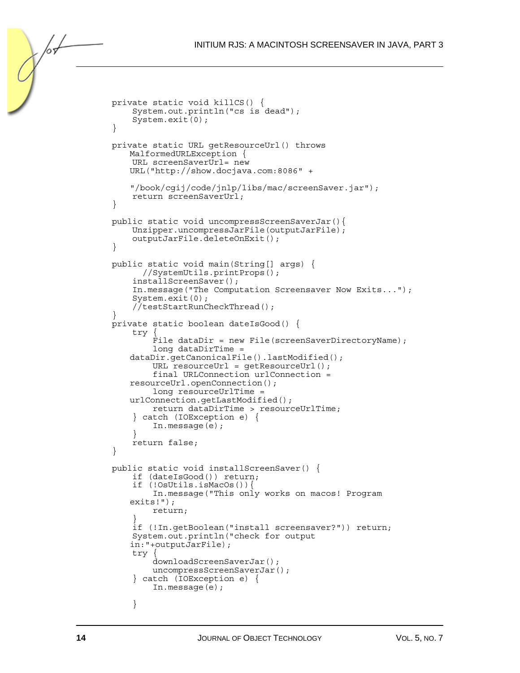```
 private static void killCS() { 
         System.out.println("cs is dead"); 
         System.exit(0); 
 } 
    private static URL getResourceUrl() throws 
       MalformedURLException { 
         URL screenSaverUrl= new 
       URL("http://show.docjava.com:8086" + 
       "/book/cgij/code/jnlp/libs/mac/screenSaver.jar"); 
         return screenSaverUrl; 
     } 
    public static void uncompressScreenSaverJar(){ 
         Unzipper.uncompressJarFile(outputJarFile); 
    outputJarFile.deleteOnExit();<br>}
 } 
    public static void main(String[] args) { 
           //SystemUtils.printProps(); 
         installScreenSaver(); 
         In.message("The Computation Screensaver Now Exits..."); 
         System.exit(0); 
         //testStartRunCheckThread(); 
 } 
    private static boolean dateIsGood() { 
         try { 
            File dataDir = new File(screenSaverDirectoryName);
             long dataDirTime = 
       dataDir.getCanonicalFile().lastModified(); 
            URL resourceUrl = getResourceUrl();
             final URLConnection urlConnection = 
       resourceUrl.openConnection(); 
             long resourceUrlTime = 
       urlConnection.getLastModified(); 
             return dataDirTime > resourceUrlTime; 
         } catch (IOException e) { 
        In.message(e);
 } 
         return false; 
 } 
    public static void installScreenSaver() { 
         if (dateIsGood()) return; 
         if (!OsUtils.isMacOs()){ 
             In.message("This only works on macos! Program 
       exits!"); 
             return; 
 } 
         if (!In.getBoolean("install screensaver?")) return; 
         System.out.println("check for output 
       in:"+outputJarFile); 
         try { 
             downloadScreenSaverJar(); 
             uncompressScreenSaverJar(); 
         } catch (IOException e) { 
             In.message(e); 
         }
```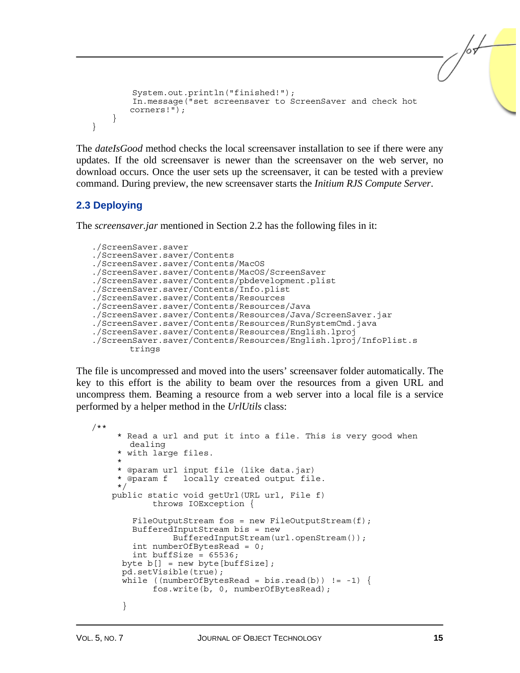```
 System.out.println("finished!"); 
         In.message("set screensaver to ScreenSaver and check hot 
        corners!"); 
     } 
}
```
The *dateIsGood* method checks the local screensaver installation to see if there were any updates. If the old screensaver is newer than the screensaver on the web server, no download occurs. Once the user sets up the screensaver, it can be tested with a preview command. During preview, the new screensaver starts the *Initium RJS Compute Server*.

#### **2.3 Deploying**

The *screensaver.jar* mentioned in Section 2.2 has the following files in it:

```
./ScreenSaver.saver 
./ScreenSaver.saver/Contents 
./ScreenSaver.saver/Contents/MacOS 
./ScreenSaver.saver/Contents/MacOS/ScreenSaver 
./ScreenSaver.saver/Contents/pbdevelopment.plist 
./ScreenSaver.saver/Contents/Info.plist 
./ScreenSaver.saver/Contents/Resources 
./ScreenSaver.saver/Contents/Resources/Java 
./ScreenSaver.saver/Contents/Resources/Java/ScreenSaver.jar 
./ScreenSaver.saver/Contents/Resources/RunSystemCmd.java 
./ScreenSaver.saver/Contents/Resources/English.lproj 
./ScreenSaver.saver/Contents/Resources/English.lproj/InfoPlist.s
       trings
```
The file is uncompressed and moved into the users' screensaver folder automatically. The key to this effort is the ability to beam over the resources from a given URL and uncompress them. Beaming a resource from a web server into a local file is a service performed by a helper method in the *UrlUtils* class:

```
/** 
      * Read a url and put it into a file. This is very good when 
       dealing 
      * with large files. 
\star * @param url input file (like data.jar) 
                 locally created output file.
      */ 
    public static void getUrl(URL url, File f) 
             throws IOException { 
        FileOutputStream fos = new FileOutputStream(f);
         BufferedInputStream bis = new 
                 BufferedInputStream(url.openStream()); 
        int numberOfBytesRead = 0;
         int buffSize = 65536; 
      byte b[] = new byte[bufferSize]; pd.setVisible(true); 
      while ((numberOfBytesRead = bis.read(b)) != -1) {
             fos.write(b, 0, numberOfBytesRead); 
       }
```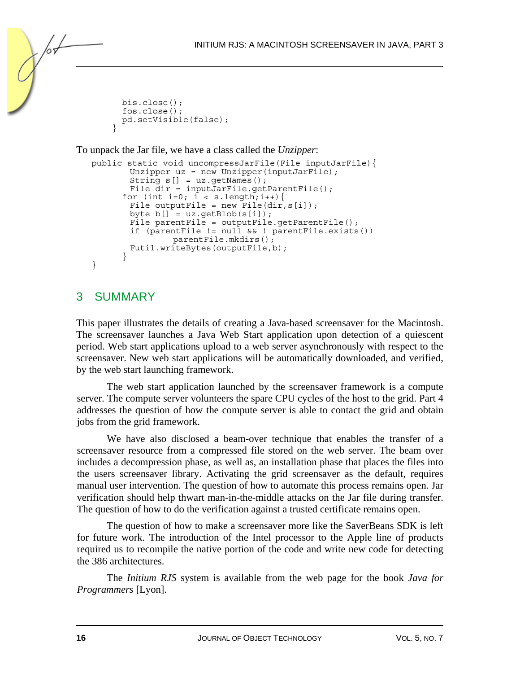```
 bis.close(); 
       fos.close(); 
       pd.setVisible(false); 
 }
```
To unpack the Jar file, we have a class called the *Unzipper*:

```
public static void uncompressJarFile(File inputJarFile){ 
       Unzipper uz = new Unzipper(inputJarFile);
        String s[] = uz.getNames(); 
 File dir = inputJarFile.getParentFile(); 
for (int i=0; i < s.length;i++){
File outputFile = new File(dir, s[i]);
       byte b[] = uz.getBlob(s[i]);File parentFile = outputFile.getParentFile();
        if (parentFile != null && ! parentFile.exists()) 
               parentFile.mkdirs();
        Futil.writeBytes(outputFile,b); 
       } 
}
```
### 3 SUMMARY

This paper illustrates the details of creating a Java-based screensaver for the Macintosh. The screensaver launches a Java Web Start application upon detection of a quiescent period. Web start applications upload to a web server asynchronously with respect to the screensaver. New web start applications will be automatically downloaded, and verified, by the web start launching framework.

The web start application launched by the screensaver framework is a compute server. The compute server volunteers the spare CPU cycles of the host to the grid. Part 4 addresses the question of how the compute server is able to contact the grid and obtain jobs from the grid framework.

We have also disclosed a beam-over technique that enables the transfer of a screensaver resource from a compressed file stored on the web server. The beam over includes a decompression phase, as well as, an installation phase that places the files into the users screensaver library. Activating the grid screensaver as the default, requires manual user intervention. The question of how to automate this process remains open. Jar verification should help thwart man-in-the-middle attacks on the Jar file during transfer. The question of how to do the verification against a trusted certificate remains open.

The question of how to make a screensaver more like the SaverBeans SDK is left for future work. The introduction of the Intel processor to the Apple line of products required us to recompile the native portion of the code and write new code for detecting the 386 architectures.

The *Initium RJS* system is available from the web page for the book *Java for Programmers* [Lyon].